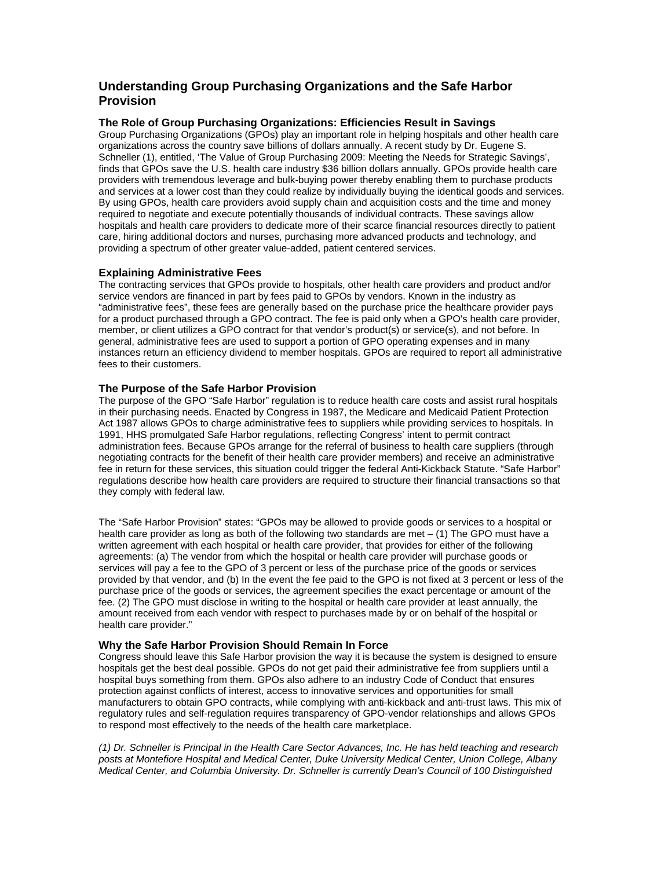# **Understanding Group Purchasing Organizations and the Safe Harbor Provision**

## **The Role of Group Purchasing Organizations: Efficiencies Result in Savings**

Group Purchasing Organizations (GPOs) play an important role in helping hospitals and other health care organizations across the country save billions of dollars annually. A recent study by Dr. Eugene S. Schneller (1), entitled, 'The Value of Group Purchasing 2009: Meeting the Needs for Strategic Savings', finds that GPOs save the U.S. health care industry \$36 billion dollars annually. GPOs provide health care providers with tremendous leverage and bulk-buying power thereby enabling them to purchase products and services at a lower cost than they could realize by individually buying the identical goods and services. By using GPOs, health care providers avoid supply chain and acquisition costs and the time and money required to negotiate and execute potentially thousands of individual contracts. These savings allow hospitals and health care providers to dedicate more of their scarce financial resources directly to patient care, hiring additional doctors and nurses, purchasing more advanced products and technology, and providing a spectrum of other greater value-added, patient centered services.

## **Explaining Administrative Fees**

The contracting services that GPOs provide to hospitals, other health care providers and product and/or service vendors are financed in part by fees paid to GPOs by vendors. Known in the industry as "administrative fees", these fees are generally based on the purchase price the healthcare provider pays for a product purchased through a GPO contract. The fee is paid only when a GPO's health care provider, member, or client utilizes a GPO contract for that vendor's product(s) or service(s), and not before. In general, administrative fees are used to support a portion of GPO operating expenses and in many instances return an efficiency dividend to member hospitals. GPOs are required to report all administrative fees to their customers.

#### **The Purpose of the Safe Harbor Provision**

The purpose of the GPO "Safe Harbor" regulation is to reduce health care costs and assist rural hospitals in their purchasing needs. Enacted by Congress in 1987, the Medicare and Medicaid Patient Protection Act 1987 allows GPOs to charge administrative fees to suppliers while providing services to hospitals. In 1991, HHS promulgated Safe Harbor regulations, reflecting Congress' intent to permit contract administration fees. Because GPOs arrange for the referral of business to health care suppliers (through negotiating contracts for the benefit of their health care provider members) and receive an administrative fee in return for these services, this situation could trigger the federal Anti-Kickback Statute. "Safe Harbor" regulations describe how health care providers are required to structure their financial transactions so that they comply with federal law.

The "Safe Harbor Provision" states: "GPOs may be allowed to provide goods or services to a hospital or health care provider as long as both of the following two standards are met – (1) The GPO must have a written agreement with each hospital or health care provider, that provides for either of the following agreements: (a) The vendor from which the hospital or health care provider will purchase goods or services will pay a fee to the GPO of 3 percent or less of the purchase price of the goods or services provided by that vendor, and (b) In the event the fee paid to the GPO is not fixed at 3 percent or less of the purchase price of the goods or services, the agreement specifies the exact percentage or amount of the fee. (2) The GPO must disclose in writing to the hospital or health care provider at least annually, the amount received from each vendor with respect to purchases made by or on behalf of the hospital or health care provider."

#### **Why the Safe Harbor Provision Should Remain In Force**

Congress should leave this Safe Harbor provision the way it is because the system is designed to ensure hospitals get the best deal possible. GPOs do not get paid their administrative fee from suppliers until a hospital buys something from them. GPOs also adhere to an industry Code of Conduct that ensures protection against conflicts of interest, access to innovative services and opportunities for small manufacturers to obtain GPO contracts, while complying with anti-kickback and anti-trust laws. This mix of regulatory rules and self-regulation requires transparency of GPO-vendor relationships and allows GPOs to respond most effectively to the needs of the health care marketplace.

*(1) Dr. Schneller is Principal in the Health Care Sector Advances, Inc. He has held teaching and research posts at Montefiore Hospital and Medical Center, Duke University Medical Center, Union College, Albany Medical Center, and Columbia University. Dr. Schneller is currently Dean's Council of 100 Distinguished*